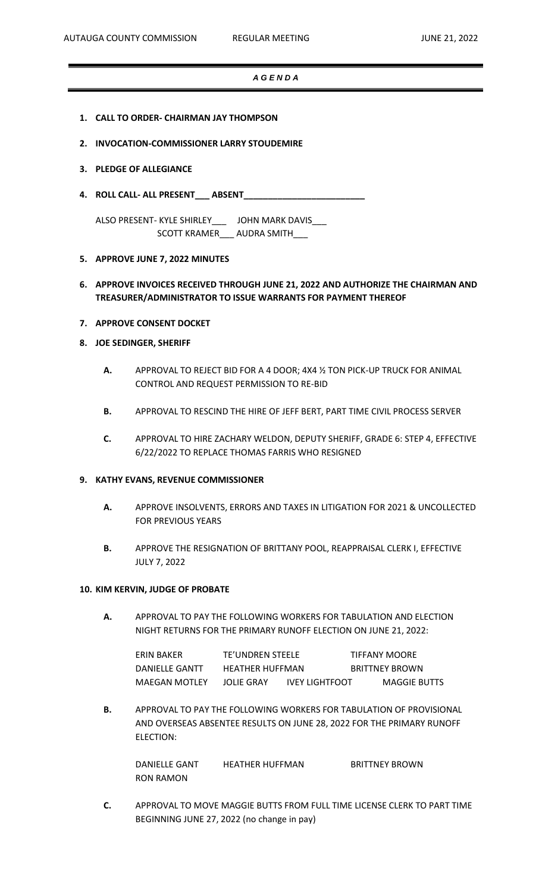# *A G E N D A*

- **1. CALL TO ORDER- CHAIRMAN JAY THOMPSON**
- **2. INVOCATION-COMMISSIONER LARRY STOUDEMIRE**
- **3. PLEDGE OF ALLEGIANCE**
- **4. ROLL CALL- ALL PRESENT\_\_\_ ABSENT\_\_\_\_\_\_\_\_\_\_\_\_\_\_\_\_\_\_\_\_\_\_\_\_\_**

ALSO PRESENT- KYLE SHIRLEY\_\_\_ JOHN MARK DAVIS\_\_\_ SCOTT KRAMER\_\_\_ AUDRA SMITH\_\_\_

- **5. APPROVE JUNE 7, 2022 MINUTES**
- **6. APPROVE INVOICES RECEIVED THROUGH JUNE 21, 2022 AND AUTHORIZE THE CHAIRMAN AND TREASURER/ADMINISTRATOR TO ISSUE WARRANTS FOR PAYMENT THEREOF**
- **7. APPROVE CONSENT DOCKET**
- **8. JOE SEDINGER, SHERIFF**
	- **A.** APPROVAL TO REJECT BID FOR A 4 DOOR; 4X4 ½ TON PICK-UP TRUCK FOR ANIMAL CONTROL AND REQUEST PERMISSION TO RE-BID
	- **B.** APPROVAL TO RESCIND THE HIRE OF JEFF BERT, PART TIME CIVIL PROCESS SERVER
	- **C.** APPROVAL TO HIRE ZACHARY WELDON, DEPUTY SHERIFF, GRADE 6: STEP 4, EFFECTIVE 6/22/2022 TO REPLACE THOMAS FARRIS WHO RESIGNED

### **9. KATHY EVANS, REVENUE COMMISSIONER**

- **A.** APPROVE INSOLVENTS, ERRORS AND TAXES IN LITIGATION FOR 2021 & UNCOLLECTED FOR PREVIOUS YEARS
- **B.** APPROVE THE RESIGNATION OF BRITTANY POOL, REAPPRAISAL CLERK I, EFFECTIVE JULY 7, 2022

### **10. KIM KERVIN, JUDGE OF PROBATE**

**A.** APPROVAL TO PAY THE FOLLOWING WORKERS FOR TABULATION AND ELECTION NIGHT RETURNS FOR THE PRIMARY RUNOFF ELECTION ON JUNE 21, 2022:

| ERIN BAKER     | TE'UNDREN STEELE       |                       | TIFFANY MOORE         |
|----------------|------------------------|-----------------------|-----------------------|
| DANIELLE GANTT | <b>HEATHER HUFFMAN</b> |                       | <b>BRITTNEY BROWN</b> |
| MAEGAN MOTLEY  | JOLIE GRAY             | <b>IVEY LIGHTFOOT</b> | <b>MAGGIE BUTTS</b>   |

**B.** APPROVAL TO PAY THE FOLLOWING WORKERS FOR TABULATION OF PROVISIONAL AND OVERSEAS ABSENTEE RESULTS ON JUNE 28, 2022 FOR THE PRIMARY RUNOFF ELECTION:

DANIELLE GANT HEATHER HUFFMAN BRITTNEY BROWN RON RAMON

**C.** APPROVAL TO MOVE MAGGIE BUTTS FROM FULL TIME LICENSE CLERK TO PART TIME BEGINNING JUNE 27, 2022 (no change in pay)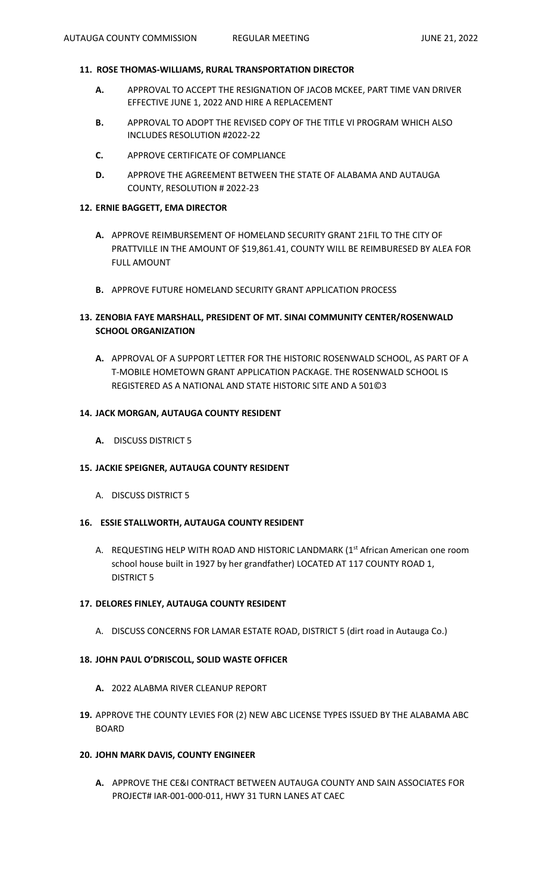# **11. ROSE THOMAS-WILLIAMS, RURAL TRANSPORTATION DIRECTOR**

- **A.** APPROVAL TO ACCEPT THE RESIGNATION OF JACOB MCKEE, PART TIME VAN DRIVER EFFECTIVE JUNE 1, 2022 AND HIRE A REPLACEMENT
- **B.** APPROVAL TO ADOPT THE REVISED COPY OF THE TITLE VI PROGRAM WHICH ALSO INCLUDES RESOLUTION #2022-22
- **C.** APPROVE CERTIFICATE OF COMPLIANCE
- **D.** APPROVE THE AGREEMENT BETWEEN THE STATE OF ALABAMA AND AUTAUGA COUNTY, RESOLUTION # 2022-23

# **12. ERNIE BAGGETT, EMA DIRECTOR**

- **A.** APPROVE REIMBURSEMENT OF HOMELAND SECURITY GRANT 21FIL TO THE CITY OF PRATTVILLE IN THE AMOUNT OF \$19,861.41, COUNTY WILL BE REIMBURESED BY ALEA FOR FULL AMOUNT
- **B.** APPROVE FUTURE HOMELAND SECURITY GRANT APPLICATION PROCESS

# **13. ZENOBIA FAYE MARSHALL, PRESIDENT OF MT. SINAI COMMUNITY CENTER/ROSENWALD SCHOOL ORGANIZATION**

**A.** APPROVAL OF A SUPPORT LETTER FOR THE HISTORIC ROSENWALD SCHOOL, AS PART OF A T-MOBILE HOMETOWN GRANT APPLICATION PACKAGE. THE ROSENWALD SCHOOL IS REGISTERED AS A NATIONAL AND STATE HISTORIC SITE AND A 501©3

# **14. JACK MORGAN, AUTAUGA COUNTY RESIDENT**

**A.** DISCUSS DISTRICT 5

## **15. JACKIE SPEIGNER, AUTAUGA COUNTY RESIDENT**

A. DISCUSS DISTRICT 5

## **16. ESSIE STALLWORTH, AUTAUGA COUNTY RESIDENT**

A. REQUESTING HELP WITH ROAD AND HISTORIC LANDMARK (1<sup>st</sup> African American one room school house built in 1927 by her grandfather) LOCATED AT 117 COUNTY ROAD 1, DISTRICT 5

### **17. DELORES FINLEY, AUTAUGA COUNTY RESIDENT**

A. DISCUSS CONCERNS FOR LAMAR ESTATE ROAD, DISTRICT 5 (dirt road in Autauga Co.)

### **18. JOHN PAUL O'DRISCOLL, SOLID WASTE OFFICER**

- **A.** 2022 ALABMA RIVER CLEANUP REPORT
- **19.** APPROVE THE COUNTY LEVIES FOR (2) NEW ABC LICENSE TYPES ISSUED BY THE ALABAMA ABC BOARD

### **20. JOHN MARK DAVIS, COUNTY ENGINEER**

**A.** APPROVE THE CE&I CONTRACT BETWEEN AUTAUGA COUNTY AND SAIN ASSOCIATES FOR PROJECT# IAR-001-000-011, HWY 31 TURN LANES AT CAEC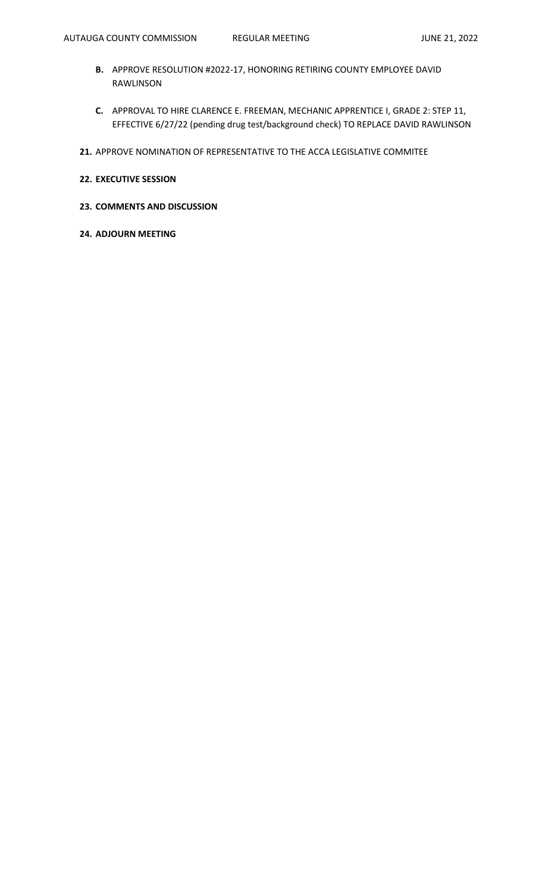- **B.** APPROVE RESOLUTION #2022-17, HONORING RETIRING COUNTY EMPLOYEE DAVID RAWLINSON
- **C.** APPROVAL TO HIRE CLARENCE E. FREEMAN, MECHANIC APPRENTICE I, GRADE 2: STEP 11, EFFECTIVE 6/27/22 (pending drug test/background check) TO REPLACE DAVID RAWLINSON
- **21.** APPROVE NOMINATION OF REPRESENTATIVE TO THE ACCA LEGISLATIVE COMMITEE
- **22. EXECUTIVE SESSION**
- **23. COMMENTS AND DISCUSSION**
- **24. ADJOURN MEETING**